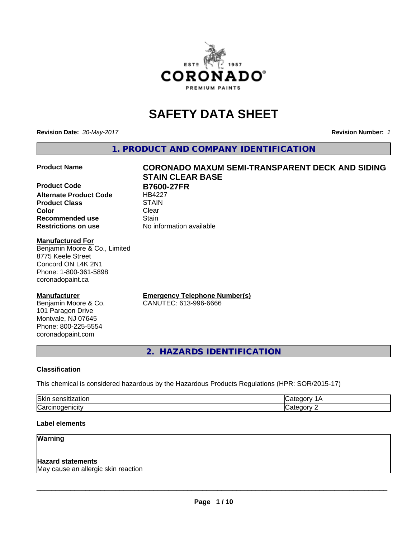

# **SAFETY DATA SHEET**

**Revision Date:** *30-May-2017* **Revision Number:** *1*

**1. PRODUCT AND COMPANY IDENTIFICATION**

**Product Code B7600-27FR Alternate Product Code** HB4227 **Product Class STAIN STAIN**<br> **Color** Clear **Color** Clear Clear **Recommended use Stain Restrictions on use** No information available

#### **Manufactured For**

Benjamin Moore & Co., Limited 8775 Keele Street Concord ON L4K 2N1 Phone: 1-800-361-5898 coronadopaint.ca

#### **Manufacturer**

Benjamin Moore & Co. 101 Paragon Drive Montvale, NJ 07645 Phone: 800-225-5554 coronadopaint.com

# **Product Name CORONADO MAXUM SEMI-TRANSPARENT DECK AND SIDING STAIN CLEAR BASE**

**Emergency Telephone Number(s)** CANUTEC: 613-996-6666

**2. HAZARDS IDENTIFICATION**

### **Classification**

This chemical is considered hazardous by the Hazardous Products Regulations (HPR: SOR/2015-17)

| ורו<br>IOKI<br>. |  |
|------------------|--|
| $\sim$<br>.      |  |

#### **Label elements**

#### **Warning**

#### **Hazard statements**

May cause an allergic skin reaction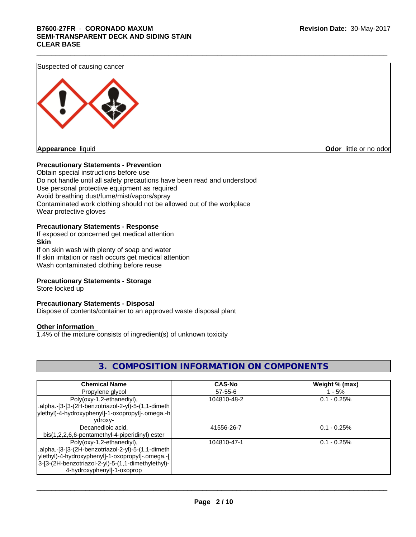## \_\_\_\_\_\_\_\_\_\_\_\_\_\_\_\_\_\_\_\_\_\_\_\_\_\_\_\_\_\_\_\_\_\_\_\_\_\_\_\_\_\_\_\_\_\_\_\_\_\_\_\_\_\_\_\_\_\_\_\_\_\_\_\_\_\_\_\_\_\_\_\_\_\_\_\_\_\_\_\_\_\_\_\_\_\_\_\_\_\_\_\_\_ **B7600-27FR** - **CORONADO MAXUM SEMI-TRANSPARENT DECK AND SIDING STAIN CLEAR BASE**

Suspected of causing cancer



**Odor** little or no odor

#### **Precautionary Statements - Prevention**

Obtain special instructions before use Do not handle until all safety precautions have been read and understood Use personal protective equipment as required Avoid breathing dust/fume/mist/vapors/spray Contaminated work clothing should not be allowed out of the workplace Wear protective gloves

#### **Precautionary Statements - Response**

If exposed or concerned get medical attention **Skin**

If on skin wash with plenty of soap and water If skin irritation or rash occurs get medical attention Wash contaminated clothing before reuse

#### **Precautionary Statements - Storage**

Store locked up

#### **Precautionary Statements - Disposal**

Dispose of contents/container to an approved waste disposal plant

#### **Other information**

1.4% of the mixture consists of ingredient(s) of unknown toxicity

## **3. COMPOSITION INFORMATION ON COMPONENTS**

| <b>Chemical Name</b>                               | <b>CAS-No</b> | Weight % (max) |
|----------------------------------------------------|---------------|----------------|
| Propylene glycol                                   | $57 - 55 - 6$ | $-5\%$         |
| Poly(oxy-1,2-ethanediyl),                          | 104810-48-2   | $0.1 - 0.25%$  |
| alpha.-[3-[3-(2H-benzotriazol-2-yl)-5-(1,1-dimeth. |               |                |
| ylethyl)-4-hydroxyphenyl]-1-oxopropyl]-.omega.-h   |               |                |
| vdroxv-                                            |               |                |
| Decanedioic acid,                                  | 41556-26-7    | $0.1 - 0.25%$  |
| bis(1,2,2,6,6-pentamethyl-4-piperidinyl) ester     |               |                |
| Poly(oxy-1,2-ethanediyl),                          | 104810-47-1   | $0.1 - 0.25%$  |
| .alpha.-[3-[3-(2H-benzotriazol-2-yl)-5-(1,1-dimeth |               |                |
| ylethyl)-4-hydroxyphenyl]-1-oxopropyl]-.omega.-[   |               |                |
| 3-[3-(2H-benzotriazol-2-yl)-5-(1,1-dimethylethyl)- |               |                |
| 4-hydroxyphenyl]-1-oxoprop                         |               |                |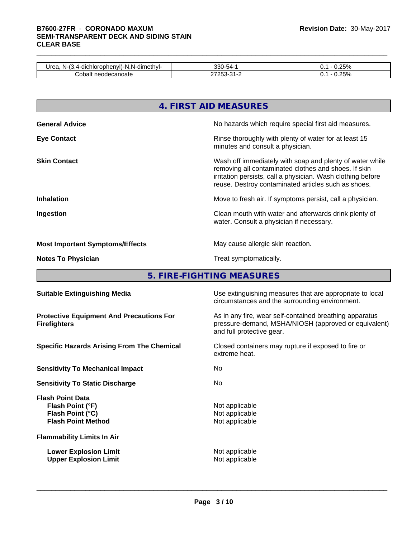## \_\_\_\_\_\_\_\_\_\_\_\_\_\_\_\_\_\_\_\_\_\_\_\_\_\_\_\_\_\_\_\_\_\_\_\_\_\_\_\_\_\_\_\_\_\_\_\_\_\_\_\_\_\_\_\_\_\_\_\_\_\_\_\_\_\_\_\_\_\_\_\_\_\_\_\_\_\_\_\_\_\_\_\_\_\_\_\_\_\_\_\_\_ **B7600-27FR** - **CORONADO MAXUM SEMI-TRANSPARENT DECK AND SIDING STAIN CLEAR BASE**

| <br>Jrea<br>.√.N-dimeth∨'.<br>ohenvI)-N<br>nlor <sup>,</sup><br>N-<br>$\overline{\phantom{a}}$<br>. .<br>ິ<br>ישט | -<br><b>000</b><br>-4<br>$\sim$ $\sim$ $\sim$<br>טעי | $\Omega$  |  |
|-------------------------------------------------------------------------------------------------------------------|------------------------------------------------------|-----------|--|
| odecanoatr<br>iualt<br>uudi "<br>U<br>-                                                                           | ້                                                    | 2E0I<br>. |  |

|                                        | 4. FIRST AID MEASURES                                                                                                                                                                                                                  |
|----------------------------------------|----------------------------------------------------------------------------------------------------------------------------------------------------------------------------------------------------------------------------------------|
| <b>General Advice</b>                  | No hazards which require special first aid measures.                                                                                                                                                                                   |
| <b>Eye Contact</b>                     | Rinse thoroughly with plenty of water for at least 15<br>minutes and consult a physician.                                                                                                                                              |
| <b>Skin Contact</b>                    | Wash off immediately with soap and plenty of water while<br>removing all contaminated clothes and shoes. If skin<br>irritation persists, call a physician. Wash clothing before<br>reuse. Destroy contaminated articles such as shoes. |
| <b>Inhalation</b>                      | Move to fresh air. If symptoms persist, call a physician.                                                                                                                                                                              |
| Ingestion                              | Clean mouth with water and afterwards drink plenty of<br>water. Consult a physician if necessary.                                                                                                                                      |
| <b>Most Important Symptoms/Effects</b> | May cause allergic skin reaction.                                                                                                                                                                                                      |
| <b>Notes To Physician</b>              | Treat symptomatically.                                                                                                                                                                                                                 |

**5. FIRE-FIGHTING MEASURES**

| <b>Suitable Extinguishing Media</b>                                                          | Use extinguishing measures that are appropriate to local<br>circumstances and the surrounding environment.                                   |
|----------------------------------------------------------------------------------------------|----------------------------------------------------------------------------------------------------------------------------------------------|
| <b>Protective Equipment And Precautions For</b><br><b>Firefighters</b>                       | As in any fire, wear self-contained breathing apparatus<br>pressure-demand, MSHA/NIOSH (approved or equivalent)<br>and full protective gear. |
| <b>Specific Hazards Arising From The Chemical</b>                                            | Closed containers may rupture if exposed to fire or<br>extreme heat.                                                                         |
| <b>Sensitivity To Mechanical Impact</b>                                                      | No.                                                                                                                                          |
| <b>Sensitivity To Static Discharge</b>                                                       | No.                                                                                                                                          |
| <b>Flash Point Data</b><br>Flash Point (°F)<br>Flash Point (°C)<br><b>Flash Point Method</b> | Not applicable<br>Not applicable<br>Not applicable                                                                                           |
| <b>Flammability Limits In Air</b>                                                            |                                                                                                                                              |
| <b>Lower Explosion Limit</b><br><b>Upper Explosion Limit</b>                                 | Not applicable<br>Not applicable                                                                                                             |
|                                                                                              |                                                                                                                                              |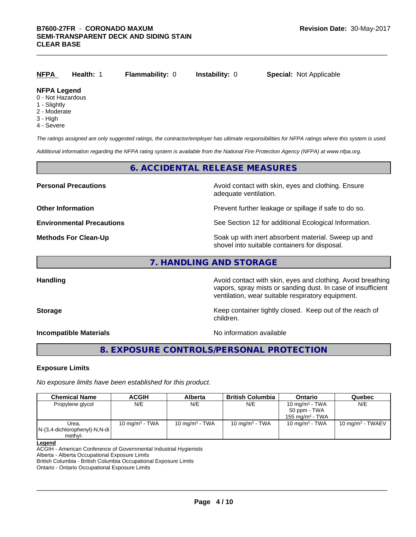## **NFPA Health:** 1 **Flammability:** 0 **Instability:** 0 **Special:** Not Applicable

#### **NFPA Legend**

- 0 Not Hazardous
- 1 Slightly
- 2 Moderate
- 3 High
- 4 Severe

*The ratings assigned are only suggested ratings, the contractor/employer has ultimate responsibilities for NFPA ratings where this system is used.*

*Additional information regarding the NFPA rating system is available from the National Fire Protection Agency (NFPA) at www.nfpa.org.*

#### **6. ACCIDENTAL RELEASE MEASURES**

**Personal Precautions Avoid contact with skin, eyes and clothing. Ensure** Avoid contact with skin, eyes and clothing. Ensure adequate ventilation.

**Other Information Discription Prevent further leakage or spillage if safe to do so.** 

**Environmental Precautions** See Section 12 for additional Ecological Information.

**Methods For Clean-Up Example 20 All 20 All 20 All 20 All 20 All 20 All 20 All 20 All 20 All 20 All 20 All 20 All 20 All 20 All 20 All 20 All 20 All 20 All 20 All 20 All 20 All 20 All 20 All 20 All 20 All 20 All 20 All 2** shovel into suitable containers for disposal.

## **7. HANDLING AND STORAGE**

**Handling Handling Avoid contact with skin, eyes and clothing. Avoid breathing** vapors, spray mists or sanding dust. In case of insufficient ventilation, wear suitable respiratory equipment.

**Storage Keep container tightly closed.** Keep out of the reach of children.

**Incompatible Materials** Nointernal Compatible Materials

 $\overline{\phantom{a}}$  ,  $\overline{\phantom{a}}$  ,  $\overline{\phantom{a}}$  ,  $\overline{\phantom{a}}$  ,  $\overline{\phantom{a}}$  ,  $\overline{\phantom{a}}$  ,  $\overline{\phantom{a}}$  ,  $\overline{\phantom{a}}$  ,  $\overline{\phantom{a}}$  ,  $\overline{\phantom{a}}$  ,  $\overline{\phantom{a}}$  ,  $\overline{\phantom{a}}$  ,  $\overline{\phantom{a}}$  ,  $\overline{\phantom{a}}$  ,  $\overline{\phantom{a}}$  ,  $\overline{\phantom{a}}$ 

## **8. EXPOSURE CONTROLS/PERSONAL PROTECTION**

#### **Exposure Limits**

*No exposure limits have been established for this product.*

| <b>Chemical Name</b>             | ACGIH             | Alberta           | <b>British Columbia</b> | Ontario            | Quebec                      |
|----------------------------------|-------------------|-------------------|-------------------------|--------------------|-----------------------------|
| Propylene glycol                 | N/E               | N/E               | N/E                     | 10 mg/m $3$ - TWA  | N/E                         |
|                                  |                   |                   |                         | 50 ppm - TWA       |                             |
|                                  |                   |                   |                         | 155 mg/m $3$ - TWA |                             |
| Urea.                            | 10 mg/m $3$ - TWA | 10 mg/m $3$ - TWA | 10 mg/m $3$ - TWA       | 10 mg/m $3$ - TWA  | $10 \text{ mg/m}^3$ - TWAEV |
| $N-(3,4$ -dichlorophenyl)-N,N-di |                   |                   |                         |                    |                             |
| methyl-                          |                   |                   |                         |                    |                             |

#### **Legend**

ACGIH - American Conference of Governmental Industrial Hygienists

Alberta - Alberta Occupational Exposure Limits

British Columbia - British Columbia Occupational Exposure Limits

Ontario - Ontario Occupational Exposure Limits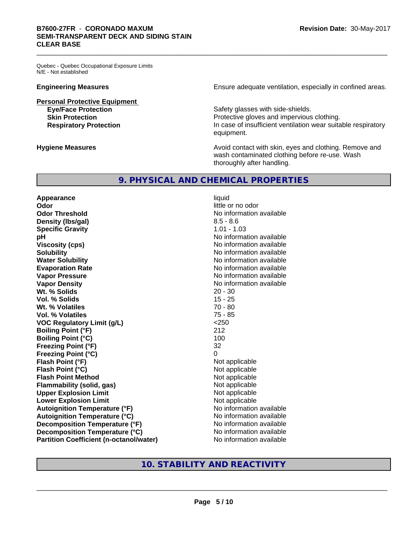Quebec - Quebec Occupational Exposure Limits N/E - Not established

**Personal Protective Equipment**

**Engineering Measures Ensure** Ensure adequate ventilation, especially in confined areas.

**Eye/Face Protection** Safety glasses with side-shields. **Skin Protection Protection Protective gloves and impervious clothing. Respiratory Protection In case of insufficient ventilation wear suitable respiratory** equipment.

**Hygiene Measures Avoid contact with skin, eyes and clothing. Remove and Hygiene Measures** and clothing. Remove and wash contaminated clothing before re-use. Wash thoroughly after handling.

#### **9. PHYSICAL AND CHEMICAL PROPERTIES**

**Appearance** liquid **Odor** little or no odor **Odor Threshold No information available No information available Density (Ibs/gal)** 8.5 - 8.6 **Specific Gravity** 1.01 - 1.03 **pH** No information available **Viscosity (cps)** No information available **Solubility No information available No information available Water Solubility No information available No information available Evaporation Rate Evaporation Rate No information available Vapor Pressure** No information available **Vapor Density Vapor Density No information available Wt. % Solids** 20 - 30 **Vol. % Solids** 15 - 25 **Wt. % Volatiles** 70 - 80 **Vol. % Volatiles** 75 - 85 **VOC Regulatory Limit (g/L)** <250 **Boiling Point (°F)** 212 **Boiling Point (°C)** 100 **Freezing Point (°F)** 32 **Freezing Point (°C)** 0 **Flash Point (°F)** Not applicable **Flash Point (°C)** Not applicable **Flash Point Method** Not applicable **Flammability (solid, gas)** Not applicable **Upper Explosion Limit** Not applicable **Lower Explosion Limit Contract Contract Contract Contract Contract Contract Contract Contract Contract Contract Contract Contract Contract Contract Contract Contract Contract Contract Contract Contract Contract Contract Autoignition Temperature (°F)** No information available **Autoignition Temperature (°C)** No information available **Decomposition Temperature (°F)** No information available **Decomposition Temperature (°C)** No information available **Partition Coefficient (n-octanol/water)** No information available

## **10. STABILITY AND REACTIVITY**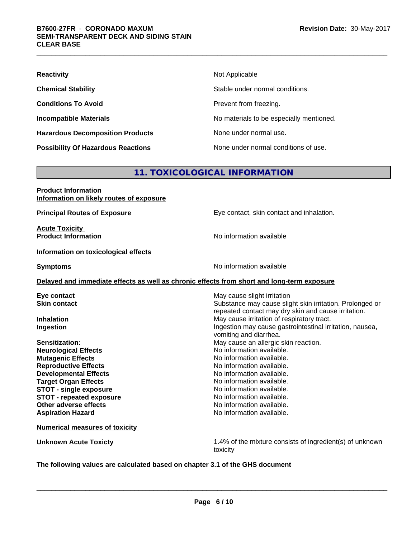| <b>Reactivity</b>                         | Not Applicable                           |
|-------------------------------------------|------------------------------------------|
| <b>Chemical Stability</b>                 | Stable under normal conditions.          |
| <b>Conditions To Avoid</b>                | Prevent from freezing.                   |
| <b>Incompatible Materials</b>             | No materials to be especially mentioned. |
| <b>Hazardous Decomposition Products</b>   | None under normal use.                   |
| <b>Possibility Of Hazardous Reactions</b> | None under normal conditions of use.     |

## **11. TOXICOLOGICAL INFORMATION**

| <b>Product Information</b><br>Information on likely routes of exposure                     |                                                                                                                                                |
|--------------------------------------------------------------------------------------------|------------------------------------------------------------------------------------------------------------------------------------------------|
| <b>Principal Routes of Exposure</b>                                                        | Eye contact, skin contact and inhalation.                                                                                                      |
| <b>Acute Toxicity</b><br><b>Product Information</b>                                        | No information available                                                                                                                       |
| Information on toxicological effects                                                       |                                                                                                                                                |
| <b>Symptoms</b>                                                                            | No information available                                                                                                                       |
| Delayed and immediate effects as well as chronic effects from short and long-term exposure |                                                                                                                                                |
| Eye contact<br><b>Skin contact</b>                                                         | May cause slight irritation<br>Substance may cause slight skin irritation. Prolonged or<br>repeated contact may dry skin and cause irritation. |
| <b>Inhalation</b><br>Ingestion                                                             | May cause irritation of respiratory tract.<br>Ingestion may cause gastrointestinal irritation, nausea,<br>vomiting and diarrhea.               |
| Sensitization:<br><b>Neurological Effects</b><br><b>Mutagenic Effects</b>                  | May cause an allergic skin reaction.<br>No information available.<br>No information available.                                                 |
| <b>Reproductive Effects</b>                                                                | No information available.                                                                                                                      |
| <b>Developmental Effects</b><br><b>Target Organ Effects</b>                                | No information available.<br>No information available.                                                                                         |
| <b>STOT - single exposure</b>                                                              | No information available.                                                                                                                      |
| <b>STOT - repeated exposure</b><br>Other adverse effects                                   | No information available.<br>No information available.                                                                                         |
| <b>Aspiration Hazard</b>                                                                   | No information available.                                                                                                                      |
| <b>Numerical measures of toxicity</b>                                                      |                                                                                                                                                |
| <b>Unknown Acute Toxicty</b>                                                               | 1.4% of the mixture consists of ingredient(s) of unknown<br>toxicity                                                                           |
|                                                                                            |                                                                                                                                                |

**The following values are calculated based on chapter 3.1 of the GHS document**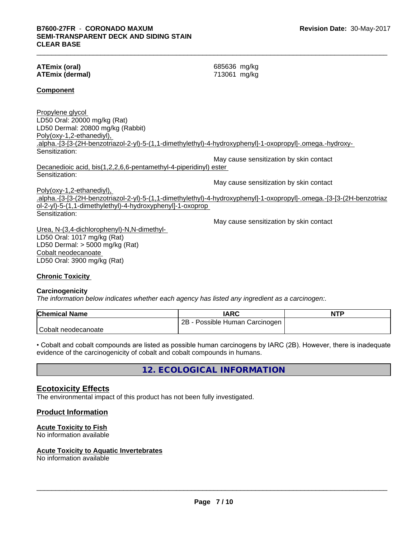#### **ATEmix (oral)** 685636 mg/kg **ATEmix (dermal)** 713061 mg/kg

#### **Component**

Propylene glycol LD50 Oral: 20000 mg/kg (Rat) LD50 Dermal: 20800 mg/kg (Rabbit) Poly(oxy-1,2-ethanediyl), .alpha.-[3-[3-(2H-benzotriazol-2-yl)-5-(1,1-dimethylethyl)-4-hydroxyphenyl]-1-oxopropyl]-.omega.-hydroxy- Sensitization:

May cause sensitization by skin contact Decanedioic acid, bis(1,2,2,6,6-pentamethyl-4-piperidinyl) ester Sensitization:

May cause sensitization by skin contact Poly(oxy-1,2-ethanediyl), .alpha.-[3-[3-(2H-benzotriazol-2-yl)-5-(1,1-dimethylethyl)-4-hydroxyphenyl]-1-oxopropyl]-.omega.-[3-[3-(2H-benzotriaz

ol-2-yl)-5-(1,1-dimethylethyl)-4-hydroxyphenyl]-1-oxoprop Sensitization:

May cause sensitization by skin contact

Urea, N-(3,4-dichlorophenyl)-N,N-dimethyl- LD50 Oral: 1017 mg/kg (Rat) LD50 Dermal: > 5000 mg/kg (Rat) Cobalt neodecanoate LD50 Oral: 3900 mg/kg (Rat)

#### **Chronic Toxicity**

#### **Carcinogenicity**

*The information below indicateswhether each agency has listed any ingredient as a carcinogen:.*

| <b>Chemical Name</b> | <b>IARC</b>                     | <b>NTP</b> |
|----------------------|---------------------------------|------------|
|                      | 2Β<br>Possible Human Carcinogen |            |
| Cobalt neodecanoate  |                                 |            |

• Cobalt and cobalt compounds are listed as possible human carcinogens by IARC (2B). However, there is inadequate evidence of the carcinogenicity of cobalt and cobalt compounds in humans.

**12. ECOLOGICAL INFORMATION**

#### **Ecotoxicity Effects**

The environmental impact of this product has not been fully investigated.

#### **Product Information**

#### **Acute Toxicity to Fish**

No information available

#### **Acute Toxicity to Aquatic Invertebrates**

No information available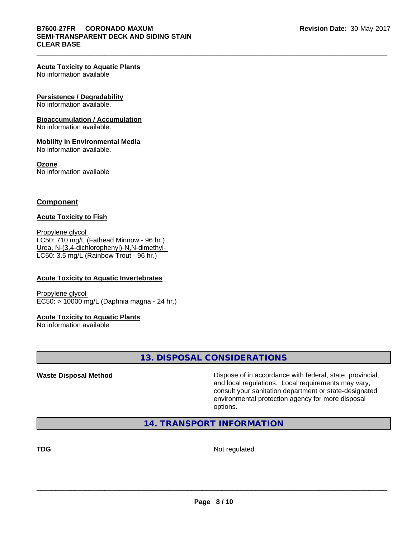#### **Acute Toxicity to Aquatic Plants**

No information available

#### **Persistence / Degradability**

No information available.

#### **Bioaccumulation / Accumulation**

No information available.

#### **Mobility in Environmental Media**

No information available.

#### **Ozone**

No information available

#### **Component**

#### **Acute Toxicity to Fish**

Propylene glycol LC50: 710 mg/L (Fathead Minnow - 96 hr.) Urea, N-(3,4-dichlorophenyl)-N,N-dimethyl- LC50: 3.5 mg/L (Rainbow Trout - 96 hr.)

#### **Acute Toxicity to Aquatic Invertebrates**

Propylene glycol EC50: > 10000 mg/L (Daphnia magna - 24 hr.)

#### **Acute Toxicity to Aquatic Plants**

No information available

### **13. DISPOSAL CONSIDERATIONS**

**Waste Disposal Method Dispose of in accordance with federal, state, provincial,** and local regulations. Local requirements may vary, consult your sanitation department or state-designated environmental protection agency for more disposal options.

### **14. TRANSPORT INFORMATION**

**TDG** Not regulated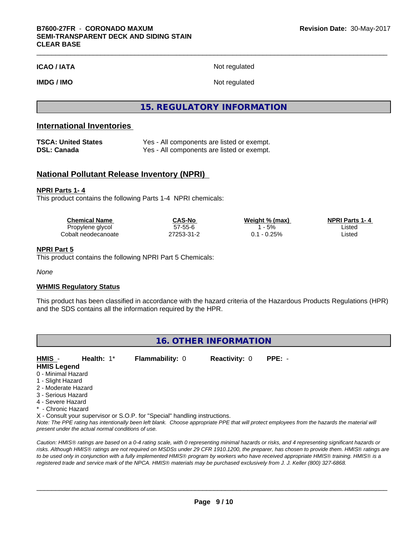**ICAO / IATA** Not regulated

**IMDG / IMO** Not regulated

### **15. REGULATORY INFORMATION**

### **International Inventories**

| TSCA: United States | Yes - All components are listed or exempt. |
|---------------------|--------------------------------------------|
| DSL: Canada         | Yes - All components are listed or exempt. |

#### **National Pollutant Release Inventory (NPRI)**

#### **NPRI Parts 1- 4**

This product contains the following Parts 1-4 NPRI chemicals:

| <b>Chemical Name</b> | <b>CAS-No</b> | Weight % (max) | <b>NPRI Parts 1-4</b> |  |
|----------------------|---------------|----------------|-----------------------|--|
| Propylene glycol     | 57-55-6       | 5%             | Listed                |  |
| Cobalt neodecanoate  | 27253-31-2    | $-0.25%$       | Listed                |  |

#### **NPRI Part 5**

This product contains the following NPRI Part 5 Chemicals:

*None*

#### **WHMIS Regulatory Status**

This product has been classified in accordance with the hazard criteria of the Hazardous Products Regulations (HPR) and the SDS contains all the information required by the HPR.

| 16. OTHER INFORMATION |                                                    |                                                                            |                      |                                                                                                                                                 |
|-----------------------|----------------------------------------------------|----------------------------------------------------------------------------|----------------------|-------------------------------------------------------------------------------------------------------------------------------------------------|
| HMIS -                | Health: $1^*$                                      | Flammability: 0                                                            | <b>Reactivity: 0</b> | $PPE: -$                                                                                                                                        |
| <b>HMIS Legend</b>    |                                                    |                                                                            |                      |                                                                                                                                                 |
| 0 - Minimal Hazard    |                                                    |                                                                            |                      |                                                                                                                                                 |
| 1 - Slight Hazard     |                                                    |                                                                            |                      |                                                                                                                                                 |
| 2 - Moderate Hazard   |                                                    |                                                                            |                      |                                                                                                                                                 |
| 3 - Serious Hazard    |                                                    |                                                                            |                      |                                                                                                                                                 |
| 4 - Severe Hazard     |                                                    |                                                                            |                      |                                                                                                                                                 |
| * - Chronic Hazard    |                                                    |                                                                            |                      |                                                                                                                                                 |
|                       |                                                    | X - Consult your supervisor or S.O.P. for "Special" handling instructions. |                      |                                                                                                                                                 |
|                       | present under the actual normal conditions of use. |                                                                            |                      | Note: The PPE rating has intentionally been left blank. Choose appropriate PPE that will protect employees from the hazards the material will   |
|                       |                                                    |                                                                            |                      | Caution: HMIS® ratings are based on a 0-4 rating scale, with 0 representing minimal hazards or risks, and 4 representing significant hazards or |
|                       |                                                    |                                                                            |                      | risks. Although HMIS® ratings are not required on MSDSs under 29 CFR 1910.1200, the preparer, has chosen to provide them. HMIS® ratings are     |
|                       |                                                    |                                                                            |                      | to be used only in conjunction with a fully implemented HMIS® program by workers who have received appropriate HMIS® training. HMIS® is a       |
|                       |                                                    |                                                                            |                      | registered trade and service mark of the NPCA. HMIS® materials may be purchased exclusively from J. J. Keller (800) 327-6868.                   |